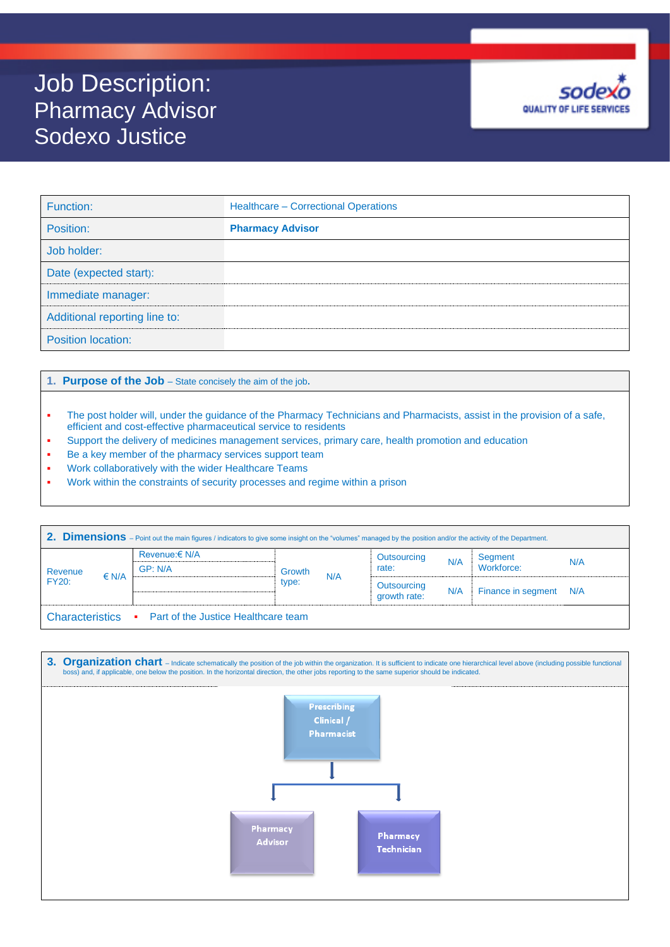## Job Description: Pharmacy Advisor Sodexo Justice



| Function:                     | <b>Healthcare - Correctional Operations</b> |
|-------------------------------|---------------------------------------------|
| Position:                     | <b>Pharmacy Advisor</b>                     |
| Job holder:                   |                                             |
| Date (expected start):        |                                             |
| Immediate manager:            |                                             |
| Additional reporting line to: |                                             |
| <b>Position location:</b>     |                                             |

**1. Purpose of the Job** – State concisely the aim of the job**.** 

- The post holder will, under the guidance of the Pharmacy Technicians and Pharmacists, assist in the provision of a safe, efficient and cost-effective pharmaceutical service to residents
- Support the delivery of medicines management services, primary care, health promotion and education
- Be a key member of the pharmacy services support team
- Work collaboratively with the wider Healthcare Teams
- Work within the constraints of security processes and regime within a prison

| 2. Dimensions - Point out the main figures / indicators to give some insight on the "volumes" managed by the position and/or the activity of the Department. |                                                       |               |                             |     |                         |     |  |  |
|--------------------------------------------------------------------------------------------------------------------------------------------------------------|-------------------------------------------------------|---------------|-----------------------------|-----|-------------------------|-----|--|--|
| Revenue<br>FY20:<br>$\in N/A$                                                                                                                                | Revenue:€ N/A                                         |               | Outsourcing<br>rate:        | N/A | ⊟ Segment<br>Workforce: | N/A |  |  |
|                                                                                                                                                              | GP: N/A                                               | Growth<br>N/A |                             |     |                         |     |  |  |
|                                                                                                                                                              |                                                       | type:         | Outsourcing<br>growth rate: | N/A | Finance in segment N/A  |     |  |  |
|                                                                                                                                                              |                                                       |               |                             |     |                         |     |  |  |
|                                                                                                                                                              | Characteristics • Part of the Justice Healthcare team |               |                             |     |                         |     |  |  |

| 3. Organization chart - Indicate schematically the position of the job within the organization. It is sufficient to indicate one hierarchical level above (including possible functional<br>boss) and, if applicable, one below the position. In the horizontal direction, the other jobs reporting to the same superior should be indicated. |                                                |  |
|-----------------------------------------------------------------------------------------------------------------------------------------------------------------------------------------------------------------------------------------------------------------------------------------------------------------------------------------------|------------------------------------------------|--|
|                                                                                                                                                                                                                                                                                                                                               | <b>Prescribing</b><br>Clinical /<br>Pharmacist |  |
|                                                                                                                                                                                                                                                                                                                                               |                                                |  |
| Pharmacy<br>Advisor                                                                                                                                                                                                                                                                                                                           | Pharmacy<br><b>Technician</b>                  |  |